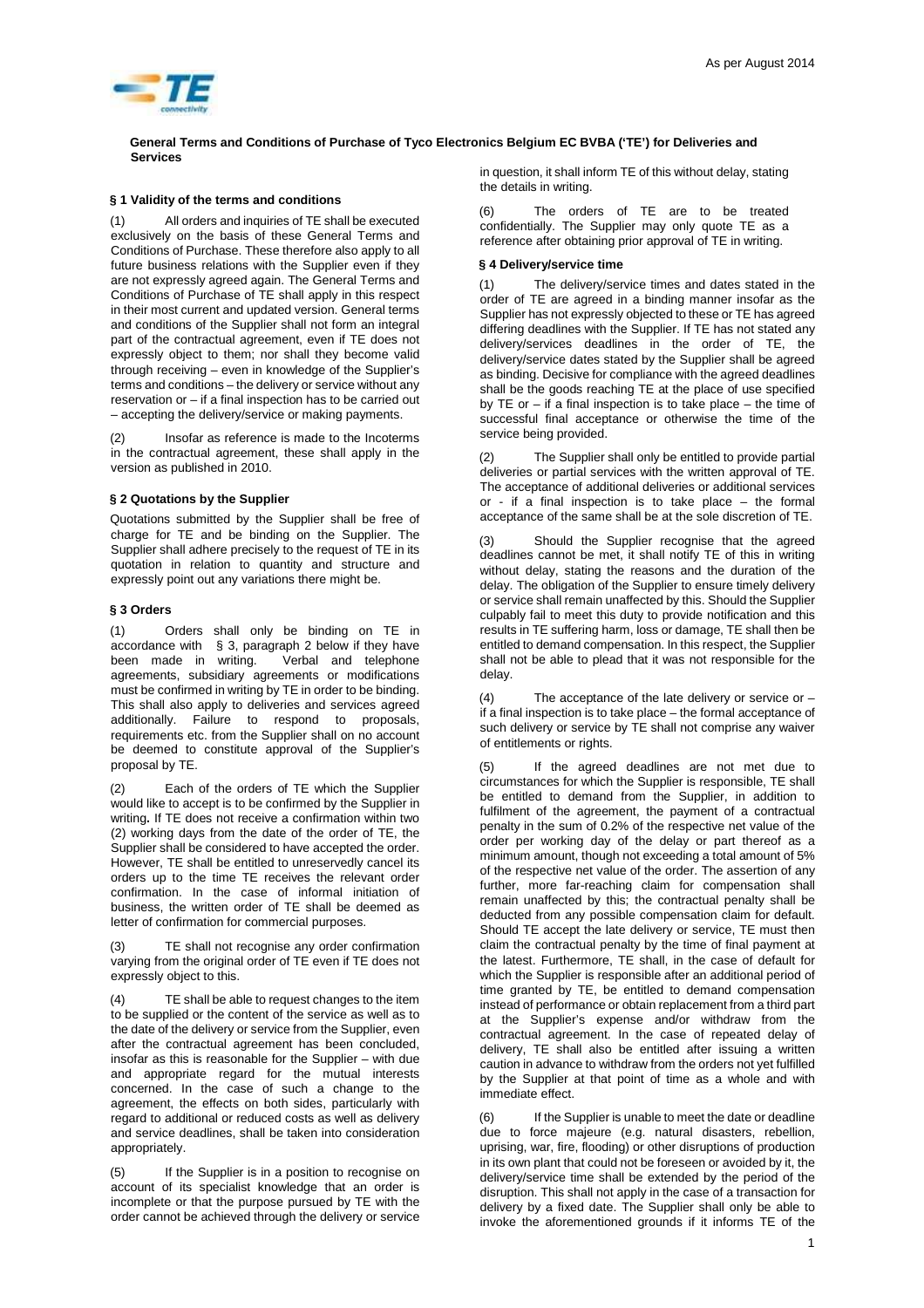

# **General Terms and Conditions of Purchase of Tyco Electronics Belgium EC BVBA ('TE') for Deliveries and Services**

# **§ 1 Validity of the terms and conditions**

(1) All orders and inquiries of TE shall be executed exclusively on the basis of these General Terms and Conditions of Purchase. These therefore also apply to all future business relations with the Supplier even if they are not expressly agreed again. The General Terms and Conditions of Purchase of TE shall apply in this respect in their most current and updated version. General terms and conditions of the Supplier shall not form an integral part of the contractual agreement, even if TE does not expressly object to them; nor shall they become valid through receiving – even in knowledge of the Supplier's terms and conditions – the delivery or service without any reservation or – if a final inspection has to be carried out – accepting the delivery/service or making payments.

(2) Insofar as reference is made to the Incoterms in the contractual agreement, these shall apply in the version as published in 2010.

## **§ 2 Quotations by the Supplier**

Quotations submitted by the Supplier shall be free of charge for TE and be binding on the Supplier. The Supplier shall adhere precisely to the request of TE in its quotation in relation to quantity and structure and expressly point out any variations there might be.

#### **§ 3 Orders**

(1) Orders shall only be binding on TE in accordance with § 3, paragraph 2 below if they have been made in writing. agreements, subsidiary agreements or modifications must be confirmed in writing by TE in order to be binding. This shall also apply to deliveries and services agreed additionally. Failure to respond to proposals, requirements etc. from the Supplier shall on no account be deemed to constitute approval of the Supplier's proposal by TE.

(2) Each of the orders of TE which the Supplier would like to accept is to be confirmed by the Supplier in writing**.** If TE does not receive a confirmation within two (2) working days from the date of the order of TE, the Supplier shall be considered to have accepted the order. However, TE shall be entitled to unreservedly cancel its orders up to the time TE receives the relevant order confirmation. In the case of informal initiation of business, the written order of TE shall be deemed as letter of confirmation for commercial purposes.

TE shall not recognise any order confirmation varying from the original order of TE even if TE does not expressly object to this.

(4) TE shall be able to request changes to the item to be supplied or the content of the service as well as to the date of the delivery or service from the Supplier, even after the contractual agreement has been concluded, insofar as this is reasonable for the Supplier – with due and appropriate regard for the mutual interests concerned. In the case of such a change to the agreement, the effects on both sides, particularly with regard to additional or reduced costs as well as delivery and service deadlines, shall be taken into consideration appropriately.

(5) If the Supplier is in a position to recognise on account of its specialist knowledge that an order is incomplete or that the purpose pursued by TE with the order cannot be achieved through the delivery or service in question, it shall inform TE of this without delay, stating the details in writing.

(6) The orders of TE are to be treated confidentially. The Supplier may only quote TE as a reference after obtaining prior approval of TE in writing.

## **§ 4 Delivery/service time**

(1) The delivery/service times and dates stated in the order of TE are agreed in a binding manner insofar as the Supplier has not expressly objected to these or TE has agreed differing deadlines with the Supplier. If TE has not stated any delivery/services deadlines in the order of TE, the delivery/service dates stated by the Supplier shall be agreed as binding. Decisive for compliance with the agreed deadlines shall be the goods reaching TE at the place of use specified by TE or – if a final inspection is to take place – the time of successful final acceptance or otherwise the time of the service being provided.

The Supplier shall only be entitled to provide partial deliveries or partial services with the written approval of TE. The acceptance of additional deliveries or additional services or - if a final inspection is to take place – the formal acceptance of the same shall be at the sole discretion of TE.

(3) Should the Supplier recognise that the agreed deadlines cannot be met, it shall notify TE of this in writing without delay, stating the reasons and the duration of the delay. The obligation of the Supplier to ensure timely delivery or service shall remain unaffected by this. Should the Supplier culpably fail to meet this duty to provide notification and this results in TE suffering harm, loss or damage, TE shall then be entitled to demand compensation. In this respect, the Supplier shall not be able to plead that it was not responsible for the delay.

(4) The acceptance of the late delivery or service or – if a final inspection is to take place – the formal acceptance of such delivery or service by TE shall not comprise any waiver of entitlements or rights.

If the agreed deadlines are not met due to circumstances for which the Supplier is responsible, TE shall be entitled to demand from the Supplier, in addition to fulfilment of the agreement, the payment of a contractual penalty in the sum of 0.2% of the respective net value of the order per working day of the delay or part thereof as a minimum amount, though not exceeding a total amount of 5% of the respective net value of the order. The assertion of any further, more far-reaching claim for compensation shall remain unaffected by this; the contractual penalty shall be deducted from any possible compensation claim for default. Should TE accept the late delivery or service, TE must then claim the contractual penalty by the time of final payment at the latest. Furthermore, TE shall, in the case of default for which the Supplier is responsible after an additional period of time granted by TE, be entitled to demand compensation instead of performance or obtain replacement from a third part at the Supplier's expense and/or withdraw from the contractual agreement. In the case of repeated delay of delivery, TE shall also be entitled after issuing a written caution in advance to withdraw from the orders not yet fulfilled by the Supplier at that point of time as a whole and with immediate effect.

(6) If the Supplier is unable to meet the date or deadline due to force majeure (e.g. natural disasters, rebellion, uprising, war, fire, flooding) or other disruptions of production in its own plant that could not be foreseen or avoided by it, the delivery/service time shall be extended by the period of the disruption. This shall not apply in the case of a transaction for delivery by a fixed date. The Supplier shall only be able to invoke the aforementioned grounds if it informs TE of the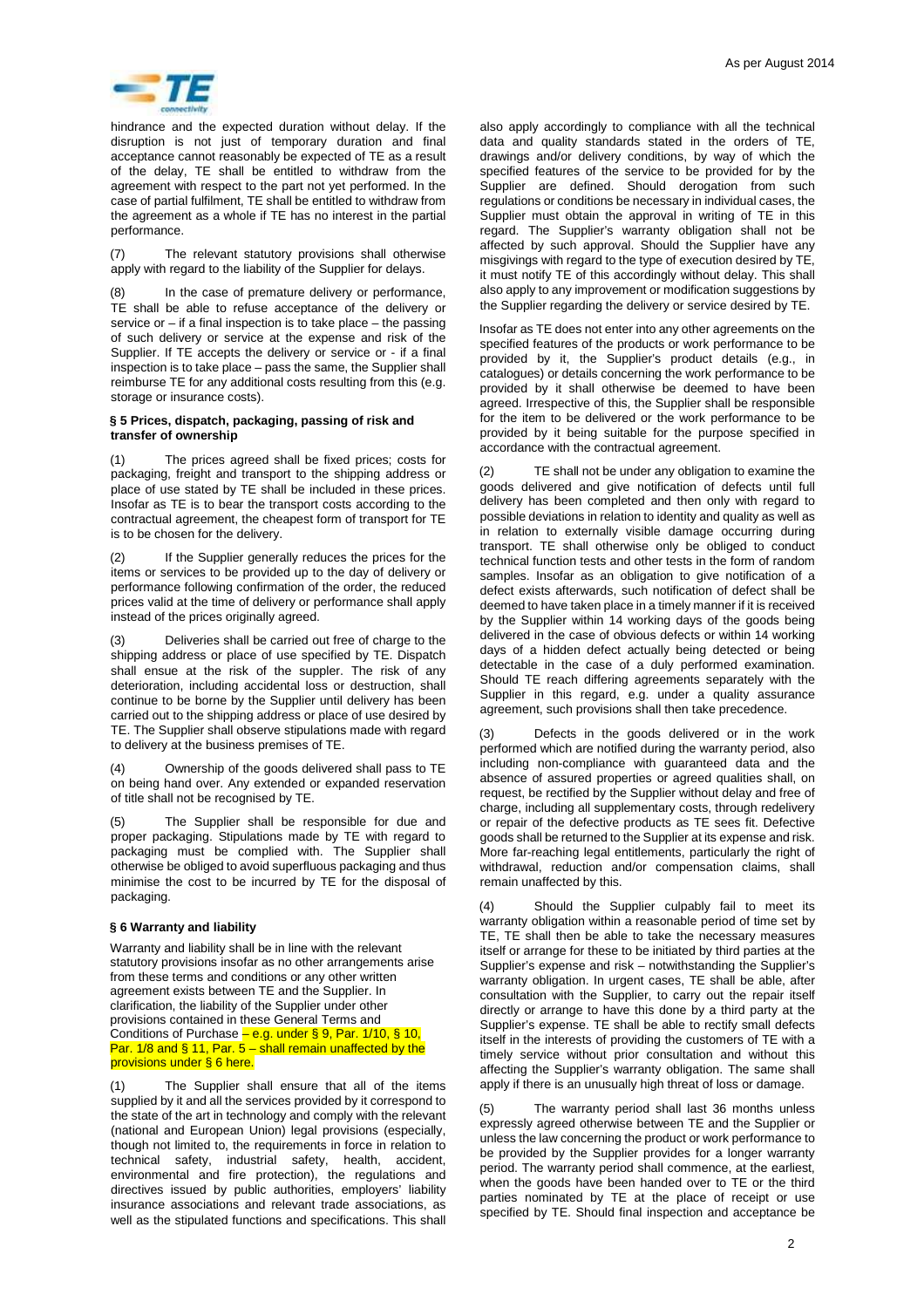

hindrance and the expected duration without delay. If the disruption is not just of temporary duration and final acceptance cannot reasonably be expected of TE as a result of the delay, TE shall be entitled to withdraw from the agreement with respect to the part not yet performed. In the case of partial fulfilment, TE shall be entitled to withdraw from the agreement as a whole if TE has no interest in the partial performance.

(7) The relevant statutory provisions shall otherwise apply with regard to the liability of the Supplier for delays.

(8) In the case of premature delivery or performance, TE shall be able to refuse acceptance of the delivery or service or – if a final inspection is to take place – the passing of such delivery or service at the expense and risk of the Supplier. If TE accepts the delivery or service or - if a final inspection is to take place – pass the same, the Supplier shall reimburse TE for any additional costs resulting from this (e.g. storage or insurance costs).

## **§ 5 Prices, dispatch, packaging, passing of risk and transfer of ownership**

(1) The prices agreed shall be fixed prices; costs for packaging, freight and transport to the shipping address or place of use stated by TE shall be included in these prices. Insofar as TE is to bear the transport costs according to the contractual agreement, the cheapest form of transport for TE is to be chosen for the delivery.

(2) If the Supplier generally reduces the prices for the items or services to be provided up to the day of delivery or performance following confirmation of the order, the reduced prices valid at the time of delivery or performance shall apply instead of the prices originally agreed.

(3) Deliveries shall be carried out free of charge to the shipping address or place of use specified by TE. Dispatch shall ensue at the risk of the suppler. The risk of any deterioration, including accidental loss or destruction, shall continue to be borne by the Supplier until delivery has been carried out to the shipping address or place of use desired by TE. The Supplier shall observe stipulations made with regard to delivery at the business premises of TE.

(4) Ownership of the goods delivered shall pass to TE on being hand over. Any extended or expanded reservation of title shall not be recognised by TE.

The Supplier shall be responsible for due and proper packaging. Stipulations made by TE with regard to packaging must be complied with. The Supplier shall otherwise be obliged to avoid superfluous packaging and thus minimise the cost to be incurred by TE for the disposal of packaging.

## **§ 6 Warranty and liability**

Warranty and liability shall be in line with the relevant statutory provisions insofar as no other arrangements arise from these terms and conditions or any other written agreement exists between TE and the Supplier. In clarification, the liability of the Supplier under other provisions contained in these General Terms and Conditions of Purchase  $-$  e.g. under § 9, Par, 1/10, § 10, Par. 1/8 and  $\S$  11, Par.  $5 -$  shall remain unaffected by the provisions under § 6 here.

(1) The Supplier shall ensure that all of the items supplied by it and all the services provided by it correspond to the state of the art in technology and comply with the relevant (national and European Union) legal provisions (especially, though not limited to, the requirements in force in relation to technical safety, industrial safety, health, accident, environmental and fire protection), the regulations and directives issued by public authorities, employers' liability insurance associations and relevant trade associations, as well as the stipulated functions and specifications. This shall

also apply accordingly to compliance with all the technical data and quality standards stated in the orders of TE, drawings and/or delivery conditions, by way of which the specified features of the service to be provided for by the Supplier are defined. Should derogation from such regulations or conditions be necessary in individual cases, the Supplier must obtain the approval in writing of TE in this regard. The Supplier's warranty obligation shall not be affected by such approval. Should the Supplier have any misgivings with regard to the type of execution desired by TE, it must notify TE of this accordingly without delay. This shall also apply to any improvement or modification suggestions by the Supplier regarding the delivery or service desired by TE.

Insofar as TE does not enter into any other agreements on the specified features of the products or work performance to be provided by it, the Supplier's product details (e.g., in catalogues) or details concerning the work performance to be provided by it shall otherwise be deemed to have been agreed. Irrespective of this, the Supplier shall be responsible for the item to be delivered or the work performance to be provided by it being suitable for the purpose specified in accordance with the contractual agreement.

(2) TE shall not be under any obligation to examine the goods delivered and give notification of defects until full delivery has been completed and then only with regard to possible deviations in relation to identity and quality as well as in relation to externally visible damage occurring during transport. TE shall otherwise only be obliged to conduct technical function tests and other tests in the form of random samples. Insofar as an obligation to give notification of a defect exists afterwards, such notification of defect shall be deemed to have taken place in a timely manner if it is received by the Supplier within 14 working days of the goods being delivered in the case of obvious defects or within 14 working days of a hidden defect actually being detected or being detectable in the case of a duly performed examination. Should TE reach differing agreements separately with the Supplier in this regard, e.g. under a quality assurance agreement, such provisions shall then take precedence.

(3) Defects in the goods delivered or in the work performed which are notified during the warranty period, also including non-compliance with guaranteed data and the absence of assured properties or agreed qualities shall, on request, be rectified by the Supplier without delay and free of charge, including all supplementary costs, through redelivery or repair of the defective products as TE sees fit. Defective goods shall be returned to the Supplier at its expense and risk. More far-reaching legal entitlements, particularly the right of withdrawal, reduction and/or compensation claims, shall remain unaffected by this.

Should the Supplier culpably fail to meet its warranty obligation within a reasonable period of time set by TE, TE shall then be able to take the necessary measures itself or arrange for these to be initiated by third parties at the Supplier's expense and risk – notwithstanding the Supplier's warranty obligation. In urgent cases, TE shall be able, after consultation with the Supplier, to carry out the repair itself directly or arrange to have this done by a third party at the Supplier's expense. TE shall be able to rectify small defects itself in the interests of providing the customers of TE with a timely service without prior consultation and without this affecting the Supplier's warranty obligation. The same shall apply if there is an unusually high threat of loss or damage.

(5) The warranty period shall last 36 months unless expressly agreed otherwise between TE and the Supplier or unless the law concerning the product or work performance to be provided by the Supplier provides for a longer warranty period. The warranty period shall commence, at the earliest, when the goods have been handed over to TE or the third parties nominated by TE at the place of receipt or use specified by TE. Should final inspection and acceptance be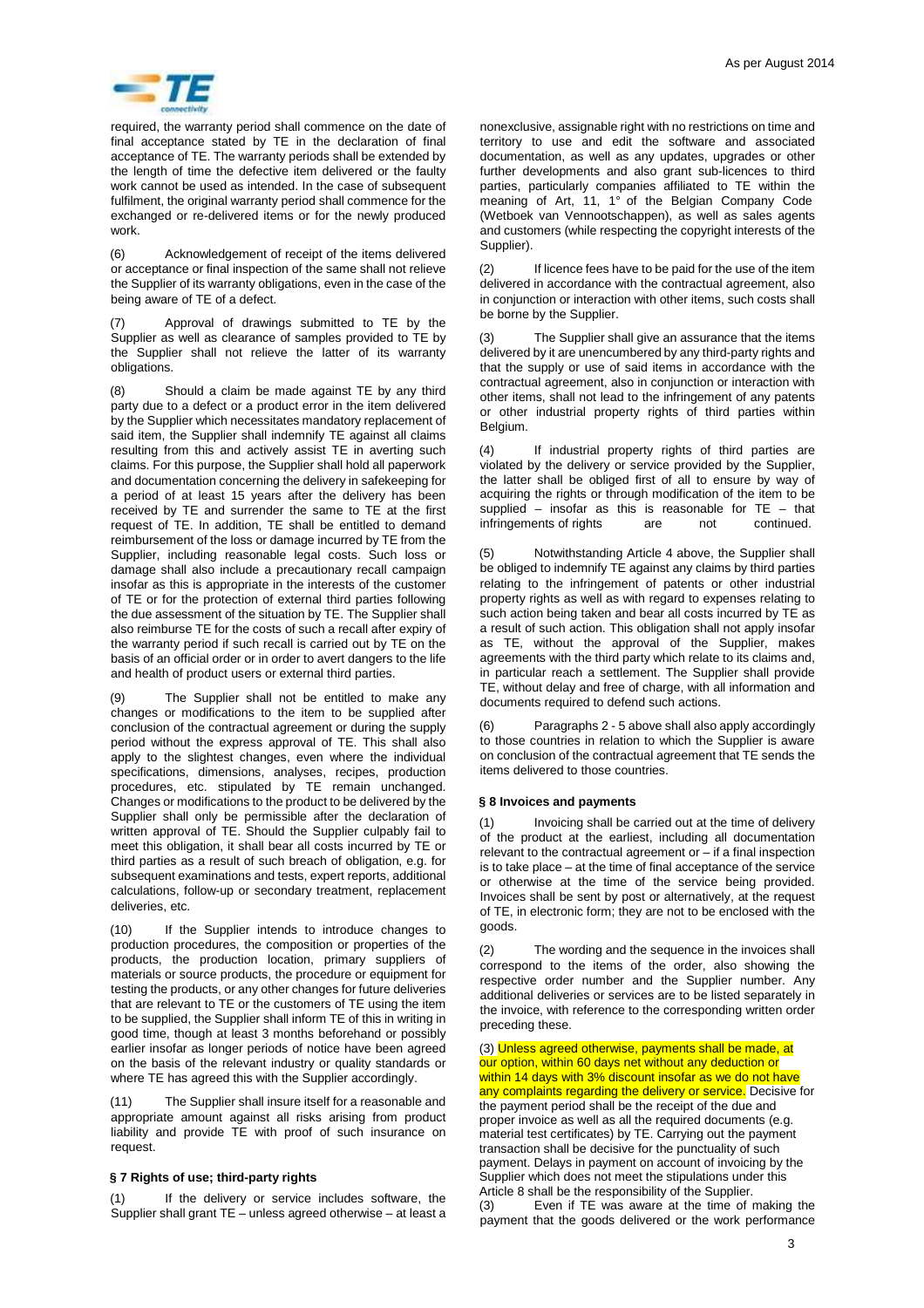

required, the warranty period shall commence on the date of final acceptance stated by TE in the declaration of final acceptance of TE. The warranty periods shall be extended by the length of time the defective item delivered or the faulty work cannot be used as intended. In the case of subsequent fulfilment, the original warranty period shall commence for the exchanged or re-delivered items or for the newly produced work.

(6) Acknowledgement of receipt of the items delivered or acceptance or final inspection of the same shall not relieve the Supplier of its warranty obligations, even in the case of the being aware of TE of a defect.

(7) Approval of drawings submitted to TE by the Supplier as well as clearance of samples provided to TE by the Supplier shall not relieve the latter of its warranty obligations.

Should a claim be made against TE by any third party due to a defect or a product error in the item delivered by the Supplier which necessitates mandatory replacement of said item, the Supplier shall indemnify TE against all claims resulting from this and actively assist TE in averting such claims. For this purpose, the Supplier shall hold all paperwork and documentation concerning the delivery in safekeeping for a period of at least 15 years after the delivery has been received by TE and surrender the same to TE at the first request of TE. In addition, TE shall be entitled to demand reimbursement of the loss or damage incurred by TE from the Supplier, including reasonable legal costs. Such loss or damage shall also include a precautionary recall campaign insofar as this is appropriate in the interests of the customer of TE or for the protection of external third parties following the due assessment of the situation by TE. The Supplier shall also reimburse TE for the costs of such a recall after expiry of the warranty period if such recall is carried out by TE on the basis of an official order or in order to avert dangers to the life and health of product users or external third parties.

(9) The Supplier shall not be entitled to make any changes or modifications to the item to be supplied after conclusion of the contractual agreement or during the supply period without the express approval of TE. This shall also apply to the slightest changes, even where the individual specifications, dimensions, analyses, recipes, production procedures, etc. stipulated by TE remain unchanged. Changes or modifications to the product to be delivered by the Supplier shall only be permissible after the declaration of written approval of TE. Should the Supplier culpably fail to meet this obligation, it shall bear all costs incurred by TE or third parties as a result of such breach of obligation, e.g. for subsequent examinations and tests, expert reports, additional calculations, follow-up or secondary treatment, replacement deliveries, etc.

(10) If the Supplier intends to introduce changes to production procedures, the composition or properties of the products, the production location, primary suppliers of materials or source products, the procedure or equipment for testing the products, or any other changes for future deliveries that are relevant to TE or the customers of TE using the item to be supplied, the Supplier shall inform TE of this in writing in good time, though at least 3 months beforehand or possibly earlier insofar as longer periods of notice have been agreed on the basis of the relevant industry or quality standards or where TE has agreed this with the Supplier accordingly.

The Supplier shall insure itself for a reasonable and appropriate amount against all risks arising from product liability and provide TE with proof of such insurance on request.

## **§ 7 Rights of use; third-party rights**

(1) If the delivery or service includes software, the Supplier shall grant TE – unless agreed otherwise – at least a nonexclusive, assignable right with no restrictions on time and territory to use and edit the software and associated documentation, as well as any updates, upgrades or other further developments and also grant sub-licences to third parties, particularly companies affiliated to TE within the meaning of Art, 11, 1° of the Belgian Company Code (Wetboek van Vennootschappen), as well as sales agents and customers (while respecting the copyright interests of the Supplier).

(2) If licence fees have to be paid for the use of the item delivered in accordance with the contractual agreement, also in conjunction or interaction with other items, such costs shall be borne by the Supplier.

The Supplier shall give an assurance that the items delivered by it are unencumbered by any third-party rights and that the supply or use of said items in accordance with the contractual agreement, also in conjunction or interaction with other items, shall not lead to the infringement of any patents or other industrial property rights of third parties within Belgium.

(4) If industrial property rights of third parties are violated by the delivery or service provided by the Supplier, the latter shall be obliged first of all to ensure by way of acquiring the rights or through modification of the item to be supplied – insofar as this is reasonable for  $TE - that$ infringements of rights are not continued.

(5) Notwithstanding Article 4 above, the Supplier shall be obliged to indemnify TE against any claims by third parties relating to the infringement of patents or other industrial property rights as well as with regard to expenses relating to such action being taken and bear all costs incurred by TE as a result of such action. This obligation shall not apply insofar as TE, without the approval of the Supplier, makes agreements with the third party which relate to its claims and, in particular reach a settlement. The Supplier shall provide TE, without delay and free of charge, with all information and documents required to defend such actions.

(6) Paragraphs 2 - 5 above shall also apply accordingly to those countries in relation to which the Supplier is aware on conclusion of the contractual agreement that TE sends the items delivered to those countries.

## **§ 8 Invoices and payments**

Invoicing shall be carried out at the time of delivery of the product at the earliest, including all documentation relevant to the contractual agreement or – if a final inspection is to take place – at the time of final acceptance of the service or otherwise at the time of the service being provided. Invoices shall be sent by post or alternatively, at the request of TE, in electronic form; they are not to be enclosed with the goods.

(2) The wording and the sequence in the invoices shall correspond to the items of the order, also showing the respective order number and the Supplier number. Any additional deliveries or services are to be listed separately in the invoice, with reference to the corresponding written order preceding these.

(3) Unless agreed otherwise, payments shall be made, at our option, within 60 days net without any deduction or within 14 days with 3% discount insofar as we do not have any complaints regarding the delivery or service. Decisive for the payment period shall be the receipt of the due and proper invoice as well as all the required documents (e.g. material test certificates) by TE. Carrying out the payment transaction shall be decisive for the punctuality of such payment. Delays in payment on account of invoicing by the Supplier which does not meet the stipulations under this Article 8 shall be the responsibility of the Supplier. (3) Even if TE was aware at the time of making the payment that the goods delivered or the work performance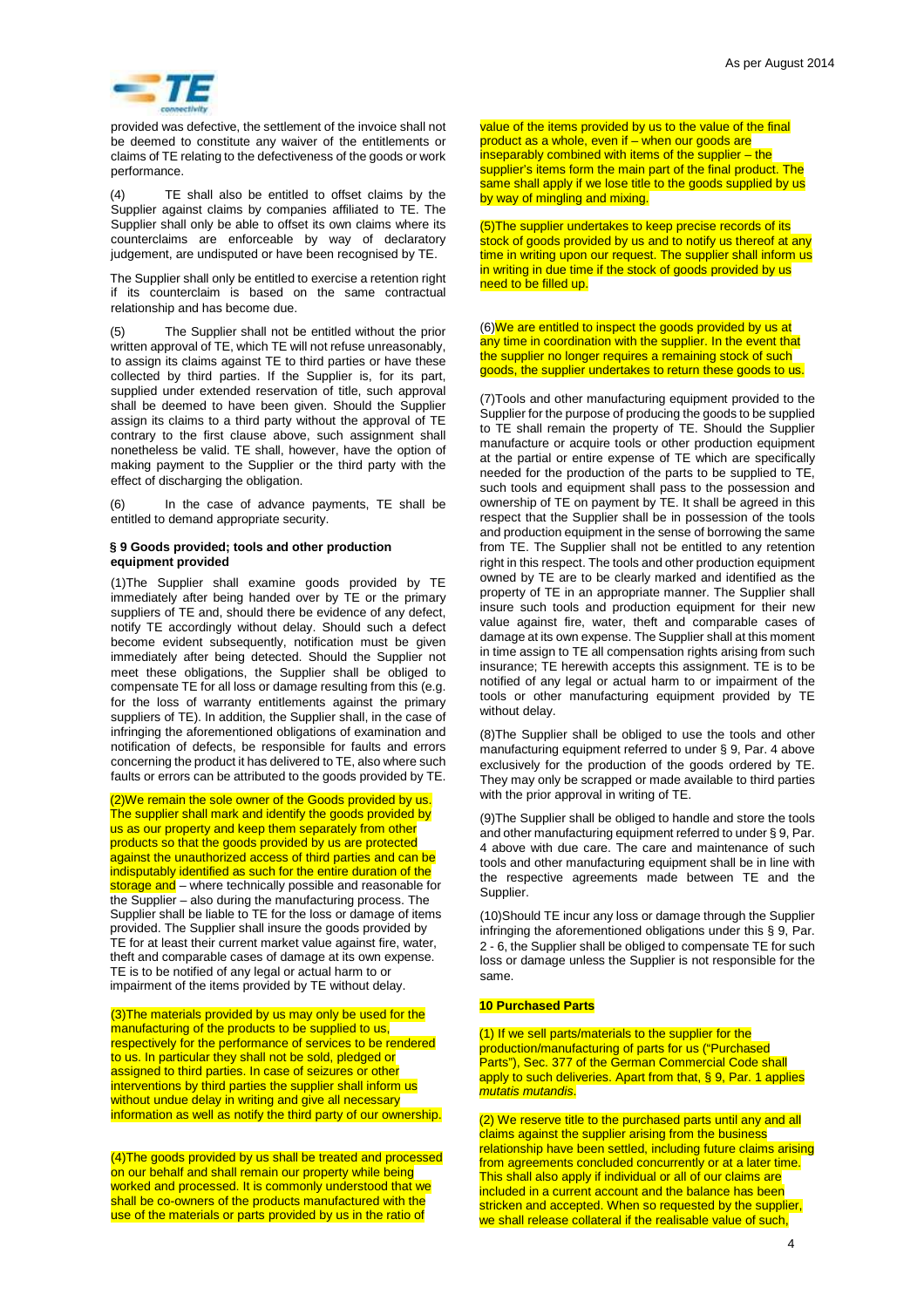

provided was defective, the settlement of the invoice shall not be deemed to constitute any waiver of the entitlements or claims of TE relating to the defectiveness of the goods or work performance.

(4) TE shall also be entitled to offset claims by the Supplier against claims by companies affiliated to TE. The Supplier shall only be able to offset its own claims where its counterclaims are enforceable by way of declaratory judgement, are undisputed or have been recognised by TE.

The Supplier shall only be entitled to exercise a retention right if its counterclaim is based on the same contractual relationship and has become due.

(5) The Supplier shall not be entitled without the prior written approval of TE, which TE will not refuse unreasonably, to assign its claims against TE to third parties or have these collected by third parties. If the Supplier is, for its part, supplied under extended reservation of title, such approval shall be deemed to have been given. Should the Supplier assign its claims to a third party without the approval of TE contrary to the first clause above, such assignment shall nonetheless be valid. TE shall, however, have the option of making payment to the Supplier or the third party with the effect of discharging the obligation.

(6) In the case of advance payments, TE shall be entitled to demand appropriate security.

#### **§ 9 Goods provided; tools and other production equipment provided**

(1)The Supplier shall examine goods provided by TE immediately after being handed over by TE or the primary suppliers of TE and, should there be evidence of any defect, notify TE accordingly without delay. Should such a defect become evident subsequently, notification must be given immediately after being detected. Should the Supplier not meet these obligations, the Supplier shall be obliged to compensate TE for all loss or damage resulting from this (e.g. for the loss of warranty entitlements against the primary suppliers of TE). In addition, the Supplier shall, in the case of infringing the aforementioned obligations of examination and notification of defects, be responsible for faults and errors concerning the product it has delivered to TE, also where such faults or errors can be attributed to the goods provided by TE.

(2)We remain the sole owner of the Goods provided by us. The supplier shall mark and identify the goods provided by us as our property and keep them separately from other products so that the goods provided by us are protected against the unauthorized access of third parties and can be indisputably identified as such for the entire duration of the storage and – where technically possible and reasonable for the Supplier – also during the manufacturing process. The Supplier shall be liable to TE for the loss or damage of items provided. The Supplier shall insure the goods provided by TE for at least their current market value against fire, water, theft and comparable cases of damage at its own expense. TE is to be notified of any legal or actual harm to or impairment of the items provided by TE without delay.

(3)The materials provided by us may only be used for the manufacturing of the products to be supplied to us, respectively for the performance of services to be rendered to us. In particular they shall not be sold, pledged or assigned to third parties. In case of seizures or other interventions by third parties the supplier shall inform us without undue delay in writing and give all necessary information as well as notify the third party of our ownership.

(4)The goods provided by us shall be treated and processed on our behalf and shall remain our property while being worked and processed. It is commonly understood that we shall be co-owners of the products manufactured with the use of the materials or parts provided by us in the ratio of

value of the items provided by us to the value of the final product as a whole, even if – when our goods are inseparably combined with items of the supplier – the supplier's items form the main part of the final product. The same shall apply if we lose title to the goods supplied by us by way of mingling and mixing.

(5)The supplier undertakes to keep precise records of its stock of goods provided by us and to notify us thereof at any time in writing upon our request. The supplier shall inform us in writing in due time if the stock of goods provided by us need to be filled up.

(6)We are entitled to inspect the goods provided by us at any time in coordination with the supplier. In the event that the supplier no longer requires a remaining stock of such goods, the supplier undertakes to return these goods to us.

(7)Tools and other manufacturing equipment provided to the Supplier for the purpose of producing the goods to be supplied to TE shall remain the property of TE. Should the Supplier manufacture or acquire tools or other production equipment at the partial or entire expense of TE which are specifically needed for the production of the parts to be supplied to TE, such tools and equipment shall pass to the possession and ownership of TE on payment by TE. It shall be agreed in this respect that the Supplier shall be in possession of the tools and production equipment in the sense of borrowing the same from TE. The Supplier shall not be entitled to any retention right in this respect. The tools and other production equipment owned by TE are to be clearly marked and identified as the property of TE in an appropriate manner. The Supplier shall insure such tools and production equipment for their new value against fire, water, theft and comparable cases of damage at its own expense. The Supplier shall at this moment in time assign to TE all compensation rights arising from such insurance; TE herewith accepts this assignment. TE is to be notified of any legal or actual harm to or impairment of the tools or other manufacturing equipment provided by TE without delay.

(8)The Supplier shall be obliged to use the tools and other manufacturing equipment referred to under § 9, Par. 4 above exclusively for the production of the goods ordered by TE. They may only be scrapped or made available to third parties with the prior approval in writing of TE.

(9)The Supplier shall be obliged to handle and store the tools and other manufacturing equipment referred to under § 9, Par. 4 above with due care. The care and maintenance of such tools and other manufacturing equipment shall be in line with the respective agreements made between TE and the Supplier.

(10)Should TE incur any loss or damage through the Supplier infringing the aforementioned obligations under this § 9, Par. 2 - 6, the Supplier shall be obliged to compensate TE for such loss or damage unless the Supplier is not responsible for the same.

#### **10 Purchased Parts**

(1) If we sell parts/materials to the supplier for the production/manufacturing of parts for us ("Purchased Parts"), Sec. 377 of the German Commercial Code shall apply to such deliveries. Apart from that, § 9, Par. 1 applies mutatis mutandis.

(2) We reserve title to the purchased parts until any and all claims against the supplier arising from the business relationship have been settled, including future claims arising from agreements concluded concurrently or at a later time. This shall also apply if individual or all of our claims are included in a current account and the balance has been stricken and accepted. When so requested by the supplier, we shall release collateral if the realisable value of such,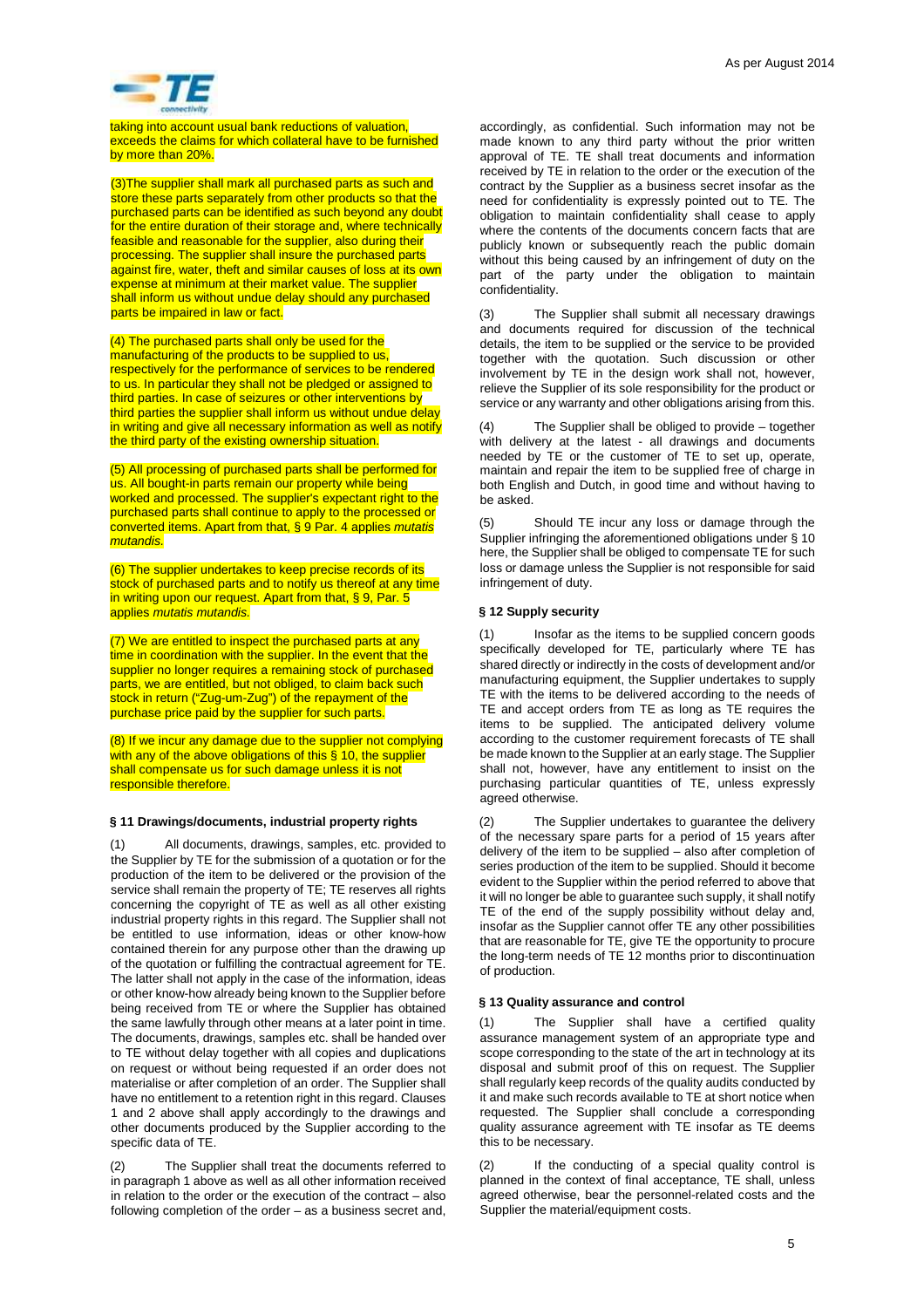taking into account usual bank reductions of valuation, exceeds the claims for which collateral have to be furnished by more than 20%.

(3)The supplier shall mark all purchased parts as such and store these parts separately from other products so that the purchased parts can be identified as such beyond any doubt for the entire duration of their storage and, where technically feasible and reasonable for the supplier, also during their processing. The supplier shall insure the purchased parts against fire, water, theft and similar causes of loss at its own expense at minimum at their market value. The supplier shall inform us without undue delay should any purchased parts be impaired in law or fact.

(4) The purchased parts shall only be used for the manufacturing of the products to be supplied to us, respectively for the performance of services to be rendered to us. In particular they shall not be pledged or assigned to third parties. In case of seizures or other interventions by third parties the supplier shall inform us without undue delay in writing and give all necessary information as well as notify the third party of the existing ownership situation.

(5) All processing of purchased parts shall be performed for us. All bought-in parts remain our property while being worked and processed. The supplier's expectant right to the purchased parts shall continue to apply to the processed or converted items. Apart from that, § 9 Par. 4 applies mutatis mutandis.

(6) The supplier undertakes to keep precise records of its stock of purchased parts and to notify us thereof at any time in writing upon our request. Apart from that, § 9, Par. 5 applies mutatis mutandis.

(7) We are entitled to inspect the purchased parts at any time in coordination with the supplier. In the event that the supplier no longer requires a remaining stock of purchased parts, we are entitled, but not obliged, to claim back such stock in return ("Zug-um-Zug") of the repayment of the purchase price paid by the supplier for such parts.

(8) If we incur any damage due to the supplier not complying with any of the above obligations of this  $\frac{1}{5}$  10, the supplier shall compensate us for such damage unless it is not responsible therefore.

## **§ 11 Drawings/documents, industrial property rights**

All documents, drawings, samples, etc. provided to the Supplier by TE for the submission of a quotation or for the production of the item to be delivered or the provision of the service shall remain the property of TE; TE reserves all rights concerning the copyright of TE as well as all other existing industrial property rights in this regard. The Supplier shall not be entitled to use information, ideas or other know-how contained therein for any purpose other than the drawing up of the quotation or fulfilling the contractual agreement for TE. The latter shall not apply in the case of the information, ideas or other know-how already being known to the Supplier before being received from TE or where the Supplier has obtained the same lawfully through other means at a later point in time. The documents, drawings, samples etc. shall be handed over to TE without delay together with all copies and duplications on request or without being requested if an order does not materialise or after completion of an order. The Supplier shall have no entitlement to a retention right in this regard. Clauses 1 and 2 above shall apply accordingly to the drawings and other documents produced by the Supplier according to the specific data of TE.

(2) The Supplier shall treat the documents referred to in paragraph 1 above as well as all other information received in relation to the order or the execution of the contract – also following completion of the order – as a business secret and,

accordingly, as confidential. Such information may not be made known to any third party without the prior written approval of TE. TE shall treat documents and information received by TE in relation to the order or the execution of the contract by the Supplier as a business secret insofar as the need for confidentiality is expressly pointed out to TE. The obligation to maintain confidentiality shall cease to apply where the contents of the documents concern facts that are publicly known or subsequently reach the public domain without this being caused by an infringement of duty on the part of the party under the obligation to maintain confidentiality.

(3) The Supplier shall submit all necessary drawings and documents required for discussion of the technical details, the item to be supplied or the service to be provided together with the quotation. Such discussion or other involvement by TE in the design work shall not, however, relieve the Supplier of its sole responsibility for the product or service or any warranty and other obligations arising from this.

(4) The Supplier shall be obliged to provide – together with delivery at the latest - all drawings and documents needed by TE or the customer of TE to set up, operate, maintain and repair the item to be supplied free of charge in both English and Dutch, in good time and without having to be asked.

(5) Should TE incur any loss or damage through the Supplier infringing the aforementioned obligations under § 10 here, the Supplier shall be obliged to compensate TE for such loss or damage unless the Supplier is not responsible for said infringement of duty.

# **§ 12 Supply security**

Insofar as the items to be supplied concern goods specifically developed for TE, particularly where TE has shared directly or indirectly in the costs of development and/or manufacturing equipment, the Supplier undertakes to supply TE with the items to be delivered according to the needs of TE and accept orders from TE as long as TE requires the items to be supplied. The anticipated delivery volume according to the customer requirement forecasts of TE shall be made known to the Supplier at an early stage. The Supplier shall not, however, have any entitlement to insist on the purchasing particular quantities of TE, unless expressly agreed otherwise.

(2) The Supplier undertakes to guarantee the delivery of the necessary spare parts for a period of 15 years after delivery of the item to be supplied – also after completion of series production of the item to be supplied. Should it become evident to the Supplier within the period referred to above that it will no longer be able to guarantee such supply, it shall notify TE of the end of the supply possibility without delay and, insofar as the Supplier cannot offer TE any other possibilities that are reasonable for TE, give TE the opportunity to procure the long-term needs of TE 12 months prior to discontinuation of production.

#### **§ 13 Quality assurance and control**

(1) The Supplier shall have a certified quality assurance management system of an appropriate type and scope corresponding to the state of the art in technology at its disposal and submit proof of this on request. The Supplier shall regularly keep records of the quality audits conducted by it and make such records available to TE at short notice when requested. The Supplier shall conclude a corresponding quality assurance agreement with TE insofar as TE deems this to be necessary.

(2) If the conducting of a special quality control is planned in the context of final acceptance, TE shall, unless agreed otherwise, bear the personnel-related costs and the Supplier the material/equipment costs.